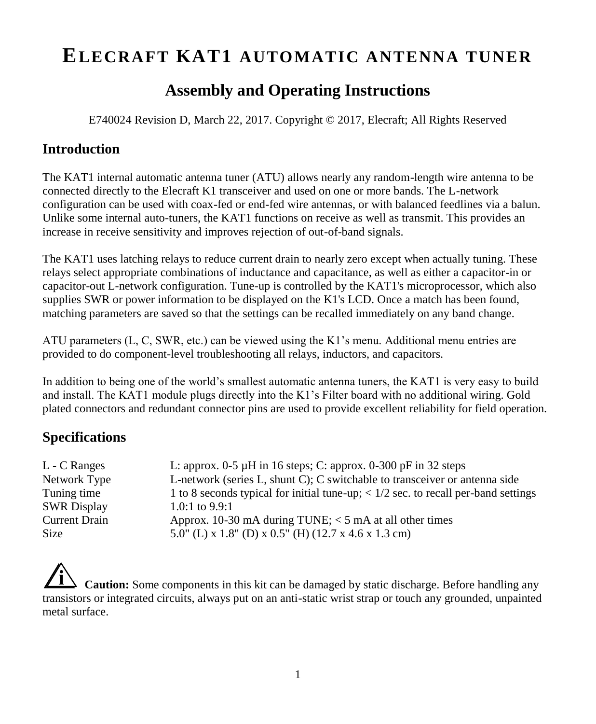# **ELECRAFT KAT1 AUTOMATIC ANTENNA TUNER**

# **Assembly and Operating Instructions**

E740024 Revision D, March 22, 2017. Copyright © 2017, Elecraft; All Rights Reserved

### **Introduction**

The KAT1 internal automatic antenna tuner (ATU) allows nearly any random-length wire antenna to be connected directly to the Elecraft K1 transceiver and used on one or more bands. The L-network configuration can be used with coax-fed or end-fed wire antennas, or with balanced feedlines via a balun. Unlike some internal auto-tuners, the KAT1 functions on receive as well as transmit. This provides an increase in receive sensitivity and improves rejection of out-of-band signals.

The KAT1 uses latching relays to reduce current drain to nearly zero except when actually tuning. These relays select appropriate combinations of inductance and capacitance, as well as either a capacitor-in or capacitor-out L-network configuration. Tune-up is controlled by the KAT1's microprocessor, which also supplies SWR or power information to be displayed on the K1's LCD. Once a match has been found, matching parameters are saved so that the settings can be recalled immediately on any band change.

ATU parameters (L, C, SWR, etc.) can be viewed using the K1's menu. Additional menu entries are provided to do component-level troubleshooting all relays, inductors, and capacitors.

In addition to being one of the world's smallest automatic antenna tuners, the KAT1 is very easy to build and install. The KAT1 module plugs directly into the K1's Filter board with no additional wiring. Gold plated connectors and redundant connector pins are used to provide excellent reliability for field operation.

### **Specifications**

| L - C Ranges         | L: approx. $0-5 \mu H$ in 16 steps; C: approx. $0-300 \mu F$ in 32 steps                           |
|----------------------|----------------------------------------------------------------------------------------------------|
| Network Type         | L-network (series L, shunt C); C switchable to transceiver or antenna side                         |
| Tuning time          | 1 to 8 seconds typical for initial tune-up; $\langle 1/2 \rangle$ sec. to recall per-band settings |
| <b>SWR Display</b>   | 1.0:1 to $9.9:1$                                                                                   |
| <b>Current Drain</b> | Approx. 10-30 mA during TUNE; $<$ 5 mA at all other times                                          |
| <b>Size</b>          | 5.0" (L) x 1.8" (D) x 0.5" (H) (12.7 x 4.6 x 1.3 cm)                                               |

**i Caution:** Some components in this kit can be damaged by static discharge. Before handling any transistors or integrated circuits, always put on an anti-static wrist strap or touch any grounded, unpainted metal surface.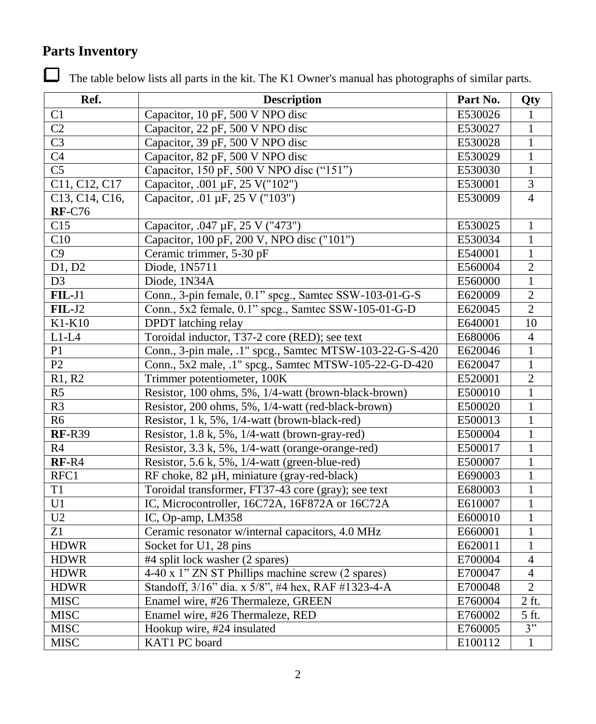# **Parts Inventory**

The table below lists all parts in the kit. The K1 Owner's manual has photographs of similar parts.

| Ref.                   | <b>Description</b>                                       | Part No. | Qty              |
|------------------------|----------------------------------------------------------|----------|------------------|
| C1                     | Capacitor, 10 pF, 500 V NPO disc                         | E530026  | 1                |
| C <sub>2</sub>         | Capacitor, 22 pF, 500 V NPO disc                         | E530027  | 1                |
| C <sub>3</sub>         | Capacitor, 39 pF, 500 V NPO disc                         | E530028  | $\mathbf{1}$     |
| C <sub>4</sub>         | Capacitor, 82 pF, 500 V NPO disc                         | E530029  | 1                |
| $\overline{\text{C5}}$ | Capacitor, 150 pF, 500 V NPO disc ("151")                | E530030  | $\mathbf{1}$     |
| C11, C12, C17          | Capacitor, .001 µF, 25 V("102")                          | E530001  | 3                |
| C13, C14, C16,         | Capacitor, .01 µF, 25 V ("103")                          | E530009  | $\overline{4}$   |
| <b>RF-C76</b>          |                                                          |          |                  |
| C15                    | Capacitor, .047 µF, 25 V ("473")                         | E530025  | $\mathbf{1}$     |
| C10                    | Capacitor, 100 pF, 200 V, NPO disc ("101")               | E530034  | 1                |
| $\overline{C9}$        | Ceramic trimmer, 5-30 pF                                 | E540001  | $\mathbf{1}$     |
| D1, D2                 | Diode, 1N5711                                            | E560004  | $\overline{2}$   |
| D <sub>3</sub>         | Diode, 1N34A                                             | E560000  | $\mathbf{1}$     |
| $FIL-J1$               | Conn., 3-pin female, 0.1" spcg., Samtec SSW-103-01-G-S   | E620009  | $\boldsymbol{2}$ |
| $FL-J2$                | Conn., 5x2 female, 0.1" spcg., Samtec SSW-105-01-G-D     | E620045  | $\overline{2}$   |
| K1-K10                 | DPDT latching relay                                      | E640001  | $10\,$           |
| $L1-L4$                | Toroidal inductor, T37-2 core (RED); see text            | E680006  | $\overline{4}$   |
| P1                     | Conn., 3-pin male, .1" spcg., Samtec MTSW-103-22-G-S-420 | E620046  | $\mathbf{1}$     |
| P2                     | Conn., 5x2 male, .1" spcg., Samtec MTSW-105-22-G-D-420   | E620047  | $\mathbf{1}$     |
| R1, R2                 | Trimmer potentiometer, 100K                              | E520001  | $\boldsymbol{2}$ |
| R <sub>5</sub>         | Resistor, 100 ohms, 5%, 1/4-watt (brown-black-brown)     | E500010  | 1                |
| R3                     | Resistor, 200 ohms, 5%, 1/4-watt (red-black-brown)       | E500020  | 1                |
| R <sub>6</sub>         | Resistor, 1 k, 5%, 1/4-watt (brown-black-red)            | E500013  | $\mathbf{1}$     |
| <b>RF-R39</b>          | Resistor, 1.8 k, 5%, 1/4-watt (brown-gray-red)           | E500004  | $\mathbf{1}$     |
| R4                     | Resistor, 3.3 k, 5%, 1/4-watt (orange-orange-red)        | E500017  | $\mathbf{1}$     |
| $RF-R4$                | Resistor, 5.6 k, 5%, 1/4-watt (green-blue-red)           | E500007  | $\mathbf{1}$     |
| RFC1                   | RF choke, 82 µH, miniature (gray-red-black)              | E690003  | $\mathbf{1}$     |
| T1                     | Toroidal transformer, FT37-43 core (gray); see text      | E680003  | 1                |
| U1                     | IC, Microcontroller, 16C72A, 16F872A or 16C72A           | E610007  | 1                |
| U2                     | IC, Op-amp, LM358                                        | E600010  | 1                |
| Z1                     | Ceramic resonator w/internal capacitors, 4.0 MHz         | E660001  | $\mathbf{1}$     |
| <b>HDWR</b>            | Socket for U1, 28 pins                                   | E620011  | $\mathbf{1}$     |
| <b>HDWR</b>            | #4 split lock washer (2 spares)                          | E700004  | $\overline{4}$   |
| <b>HDWR</b>            | 4-40 x 1" ZN ST Phillips machine screw (2 spares)        | E700047  | $\overline{4}$   |
| <b>HDWR</b>            | Standoff, 3/16" dia. x 5/8", #4 hex, RAF #1323-4-A       | E700048  | $\overline{2}$   |
| <b>MISC</b>            | Enamel wire, #26 Thermaleze, GREEN                       | E760004  | 2 ft.            |
| <b>MISC</b>            | Enamel wire, #26 Thermaleze, RED                         | E760002  | 5 ft.            |
| <b>MISC</b>            | Hookup wire, #24 insulated                               | E760005  | 3"               |
| <b>MISC</b>            | KAT1 PC board                                            | E100112  | $\mathbf{1}$     |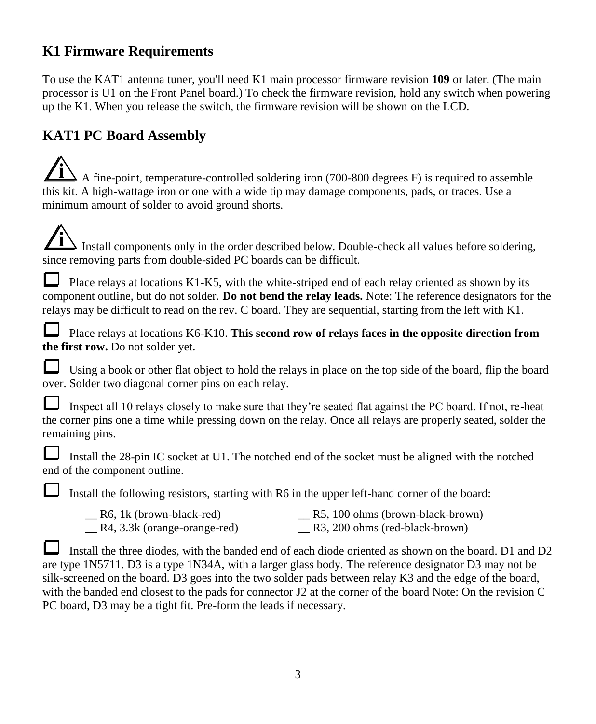### **K1 Firmware Requirements**

To use the KAT1 antenna tuner, you'll need K1 main processor firmware revision **109** or later. (The main processor is U1 on the Front Panel board.) To check the firmware revision, hold any switch when powering up the K1. When you release the switch, the firmware revision will be shown on the LCD.

# **KAT1 PC Board Assembly**

**i** A fine-point, temperature-controlled soldering iron (700-800 degrees F) is required to assemble this kit. A high-wattage iron or one with a wide tip may damage components, pads, or traces. Use a minimum amount of solder to avoid ground shorts.

| $\sqrt{\mathbf{i}}$ Install components only in the order described below. Double-check all values before soldering, |
|---------------------------------------------------------------------------------------------------------------------|
| since removing parts from double-sided PC boards can be difficult.                                                  |

Place relays at locations K1-K5, with the white-striped end of each relay oriented as shown by its component outline, but do not solder. **Do not bend the relay leads.** Note: The reference designators for the relays may be difficult to read on the rev. C board. They are sequential, starting from the left with K1.

Place relays at locations K6-K10. **This second row of relays faces in the opposite direction from the first row.** Do not solder yet.

Using a book or other flat object to hold the relays in place on the top side of the board, flip the board over. Solder two diagonal corner pins on each relay.

| Inspect all 10 relays closely to make sure that they're seated flat against the PC board. If not, re-heat    |
|--------------------------------------------------------------------------------------------------------------|
| the corner pins one a time while pressing down on the relay. Once all relays are properly seated, solder the |
| remaining pins.                                                                                              |

Install the 28-pin IC socket at U1. The notched end of the socket must be aligned with the notched end of the component outline.

Install the following resistors, starting with R6 in the upper left-hand corner of the board:

| R6, 1k (brown-black-red)     | R5, 100 ohms (brown-black-brown) |
|------------------------------|----------------------------------|
| R4, 3.3k (orange-orange-red) | R3, 200 ohms (red-black-brown)   |

Install the three diodes, with the banded end of each diode oriented as shown on the board. D1 and D2 are type 1N5711. D3 is a type 1N34A, with a larger glass body. The reference designator D3 may not be silk-screened on the board. D3 goes into the two solder pads between relay K3 and the edge of the board, with the banded end closest to the pads for connector J2 at the corner of the board Note: On the revision C PC board, D3 may be a tight fit. Pre-form the leads if necessary.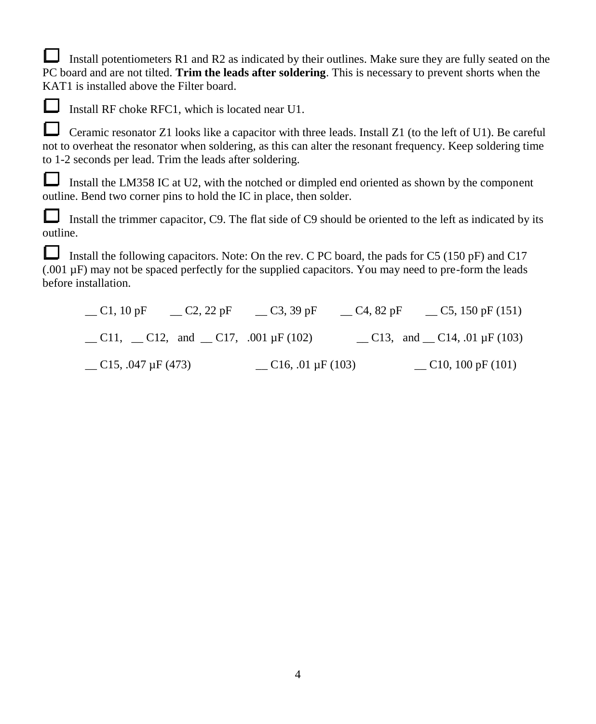Install potentiometers R1 and R2 as indicated by their outlines. Make sure they are fully seated on the PC board and are not tilted. **Trim the leads after soldering**. This is necessary to prevent shorts when the KAT1 is installed above the Filter board.



Install RF choke RFC1, which is located near U1.

Ceramic resonator Z1 looks like a capacitor with three leads. Install Z1 (to the left of U1). Be careful not to overheat the resonator when soldering, as this can alter the resonant frequency. Keep soldering time to 1-2 seconds per lead. Trim the leads after soldering.

Install the LM358 IC at U2, with the notched or dimpled end oriented as shown by the component outline. Bend two corner pins to hold the IC in place, then solder.

Install the trimmer capacitor, C9. The flat side of C9 should be oriented to the left as indicated by its outline.

Install the following capacitors. Note: On the rev. C PC board, the pads for C5 (150 pF) and C17 (.001 µF) may not be spaced perfectly for the supplied capacitors. You may need to pre-form the leads before installation.

| $\equiv$ C1, 10 pF                                          | C <sub>2</sub> , 22 pF | $C_3$ , 39 pF            | $C$ 4, 82 pF | $\sim$ C5, 150 pF (151)                  |
|-------------------------------------------------------------|------------------------|--------------------------|--------------|------------------------------------------|
| $\angle$ C11, $\angle$ C12, and $\angle$ C17, .001 µF (102) |                        |                          |              | $\Box$ C13, and $\Box$ C14, .01 µF (103) |
| $C$ 15, .047 µF (473)                                       |                        | $\sim$ C16, .01 µF (103) |              | $\sim$ C10, 100 pF (101)                 |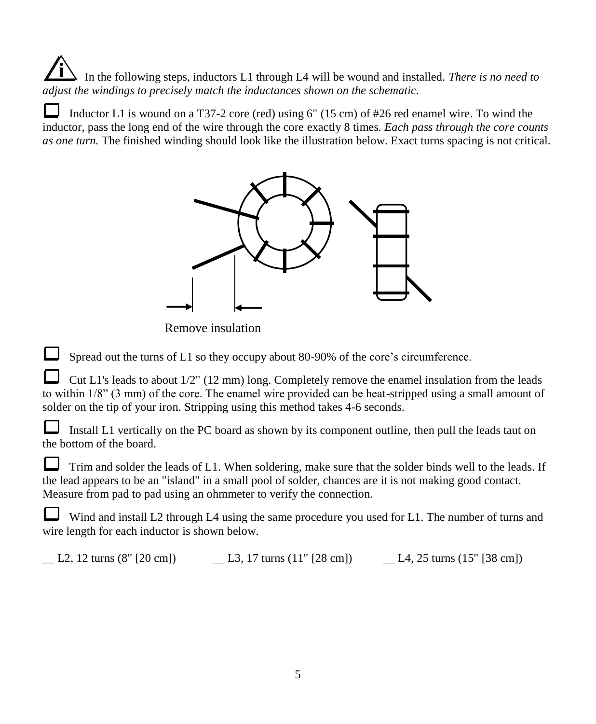**i** In the following steps, inductors L1 through L4 will be wound and installed. *There is no need to adjust the windings to precisely match the inductances shown on the schematic.* 

Inductor L1 is wound on a T37-2 core (red) using 6" (15 cm) of #26 red enamel wire. To wind the inductor, pass the long end of the wire through the core exactly 8 times*. Each pass through the core counts as one turn.* The finished winding should look like the illustration below. Exact turns spacing is not critical.



Remove insulation

Spread out the turns of L1 so they occupy about 80-90% of the core's circumference.

Cut L1's leads to about 1/2" (12 mm) long. Completely remove the enamel insulation from the leads to within 1/8" (3 mm) of the core. The enamel wire provided can be heat-stripped using a small amount of solder on the tip of your iron. Stripping using this method takes 4-6 seconds.

Install L1 vertically on the PC board as shown by its component outline, then pull the leads taut on the bottom of the board.

Trim and solder the leads of L1. When soldering, make sure that the solder binds well to the leads. If the lead appears to be an "island" in a small pool of solder, chances are it is not making good contact. Measure from pad to pad using an ohmmeter to verify the connection.

Wind and install L2 through L4 using the same procedure you used for L1. The number of turns and wire length for each inductor is shown below.

 $\Box$  L2, 12 turns (8" [20 cm])  $\Box$  L3, 17 turns (11" [28 cm])  $\Box$  L4, 25 turns (15" [38 cm])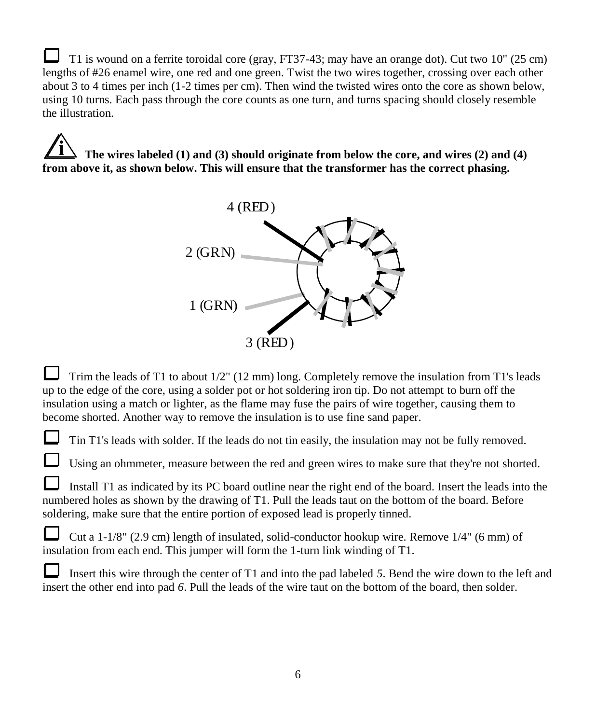T1 is wound on a ferrite toroidal core (gray, FT37-43; may have an orange dot). Cut two 10" (25 cm) lengths of #26 enamel wire, one red and one green. Twist the two wires together, crossing over each other about 3 to 4 times per inch (1-2 times per cm). Then wind the twisted wires onto the core as shown below, using 10 turns. Each pass through the core counts as one turn, and turns spacing should closely resemble the illustration.

**i The wires labeled (1) and (3) should originate from below the core, and wires (2) and (4) from above it, as shown below. This will ensure that the transformer has the correct phasing.**



Trim the leads of T1 to about 1/2" (12 mm) long. Completely remove the insulation from T1's leads up to the edge of the core, using a solder pot or hot soldering iron tip. Do not attempt to burn off the insulation using a match or lighter, as the flame may fuse the pairs of wire together, causing them to become shorted. Another way to remove the insulation is to use fine sand paper.

Tin T1's leads with solder. If the leads do not tin easily, the insulation may not be fully removed.

Using an ohmmeter, measure between the red and green wires to make sure that they're not shorted.

Install T1 as indicated by its PC board outline near the right end of the board. Insert the leads into the numbered holes as shown by the drawing of T1. Pull the leads taut on the bottom of the board. Before soldering, make sure that the entire portion of exposed lead is properly tinned.

Cut a 1-1/8" (2.9 cm) length of insulated, solid-conductor hookup wire. Remove 1/4" (6 mm) of insulation from each end. This jumper will form the 1-turn link winding of T1.

Insert this wire through the center of T1 and into the pad labeled *5*. Bend the wire down to the left and insert the other end into pad *6*. Pull the leads of the wire taut on the bottom of the board, then solder.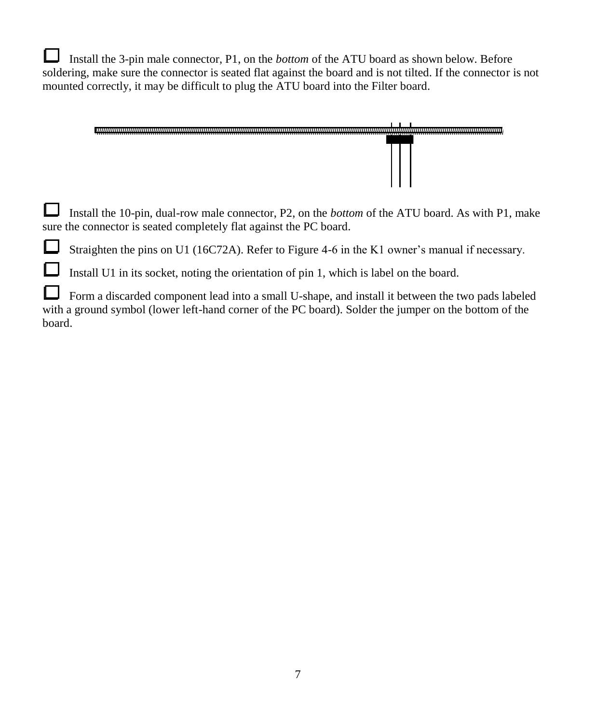Install the 3-pin male connector, P1, on the *bottom* of the ATU board as shown below. Before soldering, make sure the connector is seated flat against the board and is not tilted. If the connector is not mounted correctly, it may be difficult to plug the ATU board into the Filter board.



Install the 10-pin, dual-row male connector, P2, on the *bottom* of the ATU board. As with P1, make sure the connector is seated completely flat against the PC board.

Straighten the pins on U1 (16C72A). Refer to Figure 4-6 in the K1 owner's manual if necessary.

Install U1 in its socket, noting the orientation of pin 1, which is label on the board.

Form a discarded component lead into a small U-shape, and install it between the two pads labeled with a ground symbol (lower left-hand corner of the PC board). Solder the jumper on the bottom of the board.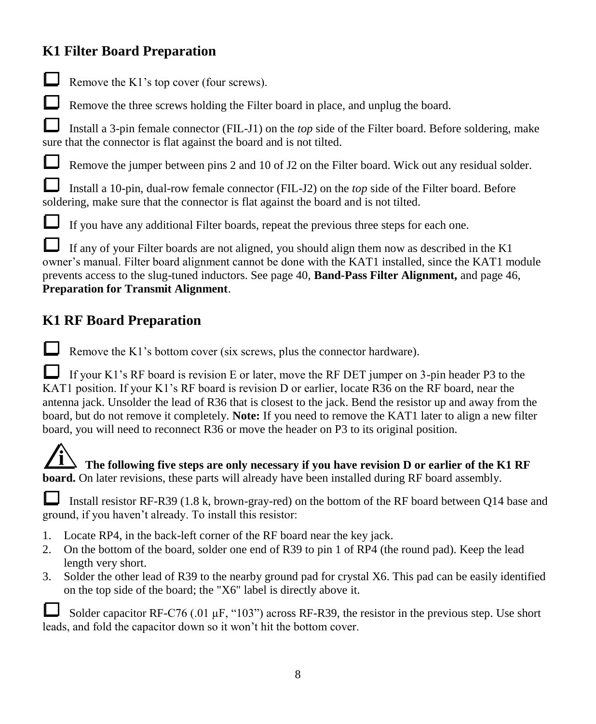### **K1 Filter Board Preparation**

Remove the K1's top cover (four screws).

Remove the three screws holding the Filter board in place, and unplug the board.

Install a 3-pin female connector (FIL-J1) on the *top* side of the Filter board. Before soldering, make sure that the connector is flat against the board and is not tilted.

Remove the jumper between pins 2 and 10 of J2 on the Filter board. Wick out any residual solder.

Install a 10-pin, dual-row female connector (FIL-J2) on the *top* side of the Filter board. Before soldering, make sure that the connector is flat against the board and is not tilted.



If you have any additional Filter boards, repeat the previous three steps for each one.

If any of your Filter boards are not aligned, you should align them now as described in the K1 owner's manual. Filter board alignment cannot be done with the KAT1 installed, since the KAT1 module prevents access to the slug-tuned inductors. See page 40, **Band-Pass Filter Alignment,** and page 46, **Preparation for Transmit Alignment**.

### **K1 RF Board Preparation**

Remove the K1's bottom cover (six screws, plus the connector hardware).

If your K1's RF board is revision E or later, move the RF DET jumper on 3-pin header P3 to the KAT1 position. If your K1's RF board is revision D or earlier, locate R36 on the RF board, near the antenna jack. Unsolder the lead of R36 that is closest to the jack. Bend the resistor up and away from the board, but do not remove it completely. **Note:** If you need to remove the KAT1 later to align a new filter board, you will need to reconnect R36 or move the header on P3 to its original position.

#### **i The following five steps are only necessary if you have revision D or earlier of the K1 RF board.** On later revisions, these parts will already have been installed during RF board assembly.

Install resistor RF-R39 (1.8 k, brown-gray-red) on the bottom of the RF board between Q14 base and ground, if you haven't already. To install this resistor:

- 1. Locate RP4, in the back-left corner of the RF board near the key jack.
- 2. On the bottom of the board, solder one end of R39 to pin 1 of RP4 (the round pad). Keep the lead length very short.
- 3. Solder the other lead of R39 to the nearby ground pad for crystal X6. This pad can be easily identified on the top side of the board; the "X6" label is directly above it.

Solder capacitor RF-C76 (.01 µF, "103") across RF-R39, the resistor in the previous step. Use short leads, and fold the capacitor down so it won't hit the bottom cover.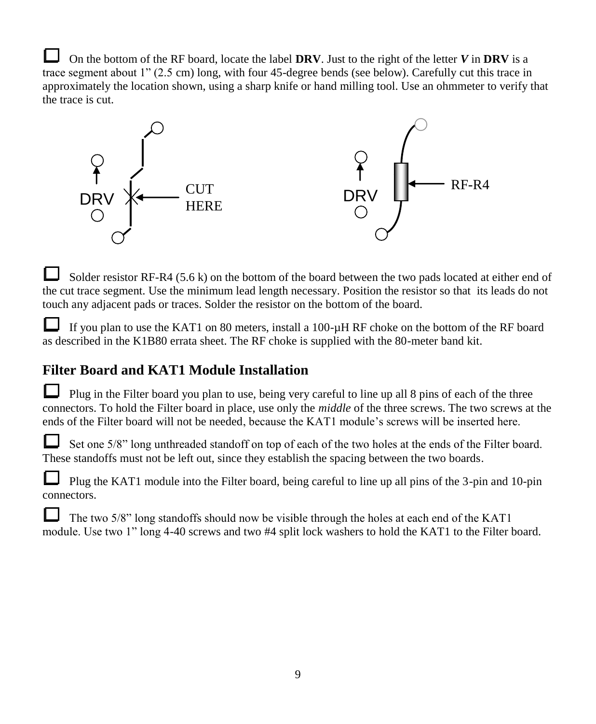On the bottom of the RF board, locate the label **DRV**. Just to the right of the letter  $V$  in **DRV** is a trace segment about 1" (2.5 cm) long, with four 45-degree bends (see below). Carefully cut this trace in approximately the location shown, using a sharp knife or hand milling tool. Use an ohmmeter to verify that the trace is cut.



Solder resistor RF-R4 (5.6 k) on the bottom of the board between the two pads located at either end of the cut trace segment. Use the minimum lead length necessary. Position the resistor so that its leads do not touch any adjacent pads or traces. Solder the resistor on the bottom of the board.

If you plan to use the KAT1 on 80 meters, install a 100-µH RF choke on the bottom of the RF board as described in the K1B80 errata sheet. The RF choke is supplied with the 80-meter band kit.

### **Filter Board and KAT1 Module Installation**

Plug in the Filter board you plan to use, being very careful to line up all 8 pins of each of the three connectors. To hold the Filter board in place, use only the *middle* of the three screws. The two screws at the ends of the Filter board will not be needed, because the KAT1 module's screws will be inserted here.

Set one 5/8" long unthreaded standoff on top of each of the two holes at the ends of the Filter board. These standoffs must not be left out, since they establish the spacing between the two boards.

Plug the KAT1 module into the Filter board, being careful to line up all pins of the 3-pin and 10-pin connectors.

The two 5/8" long standoffs should now be visible through the holes at each end of the KAT1 module. Use two 1" long 4-40 screws and two #4 split lock washers to hold the KAT1 to the Filter board.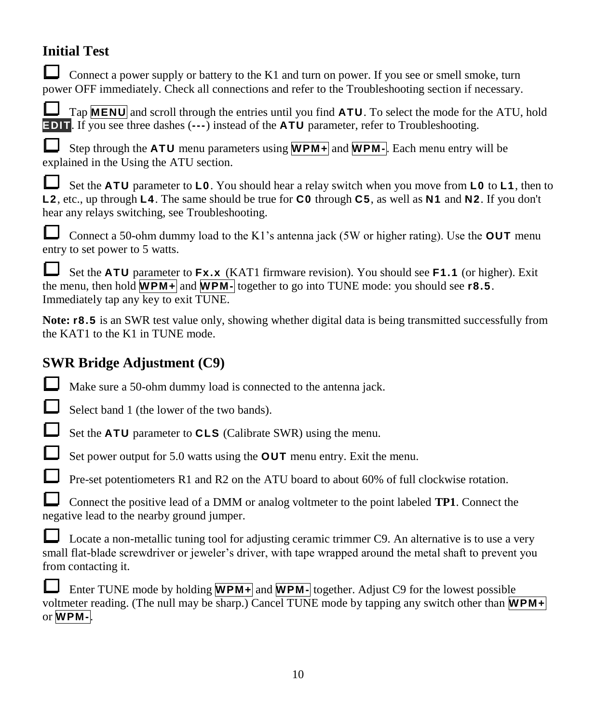# **Initial Test**

Connect a power supply or battery to the K1 and turn on power. If you see or smell smoke, turn power OFF immediately. Check all connections and refer to the Troubleshooting section if necessary.

Tap **MENU** and scroll through the entries until you find **ATU**. To select the mode for the ATU, hold **EDIT**. If you see three dashes (**---**) instead of the **ATU** parameter, refer to Troubleshooting.

Step through the **ATU** menu parameters using **WPM+** and **WPM-**. Each menu entry will be explained in the Using the ATU section.

Set the **ATU** parameter to **L0**. You should hear a relay switch when you move from **L0** to **L1**, then to **L2**, etc., up through **L4**. The same should be true for **C0** through **C5**, as well as **N1** and **N2**. If you don't hear any relays switching, see Troubleshooting.

Connect a 50-ohm dummy load to the K1's antenna jack (5W or higher rating). Use the **OUT** menu entry to set power to 5 watts.

Set the **ATU** parameter to **Fx.x** (KAT1 firmware revision). You should see **F1.1** (or higher). Exit the menu, then hold **WPM+** and **WPM-** together to go into TUNE mode: you should see **r8.5**. Immediately tap any key to exit TUNE.

**Note: <b>r8.5** is an SWR test value only, showing whether digital data is being transmitted successfully from the KAT1 to the K1 in TUNE mode.

# **SWR Bridge Adjustment (C9)**

Make sure a 50-ohm dummy load is connected to the antenna jack.

Select band 1 (the lower of the two bands).

Set the **ATU** parameter to **CLS** (Calibrate SWR) using the menu.

Set power output for 5.0 watts using the **OUT** menu entry. Exit the menu.

Pre-set potentiometers R1 and R2 on the ATU board to about 60% of full clockwise rotation.

Connect the positive lead of a DMM or analog voltmeter to the point labeled **TP1**. Connect the negative lead to the nearby ground jumper.

Locate a non-metallic tuning tool for adjusting ceramic trimmer C9. An alternative is to use a very small flat-blade screwdriver or jeweler's driver, with tape wrapped around the metal shaft to prevent you from contacting it.

Enter TUNE mode by holding **WPM+** and **WPM-** together. Adjust C9 for the lowest possible voltmeter reading. (The null may be sharp.) Cancel TUNE mode by tapping any switch other than **WPM+** or **WPM-**.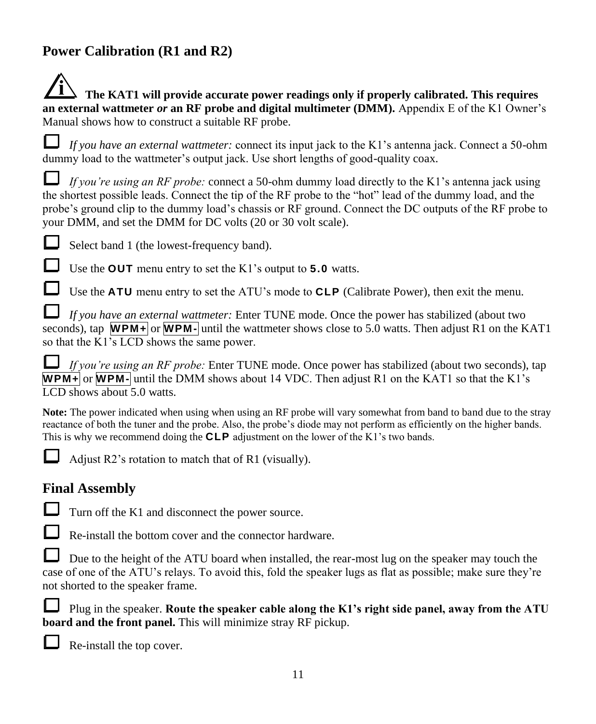# **Power Calibration (R1 and R2)**

| $\angle$ 1 The KAT1 will provide accurate power readings only if properly calibrated. This requires |
|-----------------------------------------------------------------------------------------------------|
| an external wattmeter or an RF probe and digital multimeter (DMM). Appendix E of the K1 Owner's     |
| Manual shows how to construct a suitable RF probe.                                                  |

*If you have an external wattmeter:* connect its input jack to the K1's antenna jack. Connect a 50-ohm dummy load to the wattmeter's output jack. Use short lengths of good-quality coax.

*If you're using an RF probe:* connect a 50-ohm dummy load directly to the K1's antenna jack using the shortest possible leads. Connect the tip of the RF probe to the "hot" lead of the dummy load, and the probe's ground clip to the dummy load's chassis or RF ground. Connect the DC outputs of the RF probe to your DMM, and set the DMM for DC volts (20 or 30 volt scale).



**i**

Select band 1 (the lowest-frequency band).

Use the **OUT** menu entry to set the K1's output to **5.0** watts.

Use the **ATU** menu entry to set the ATU's mode to **CLP** (Calibrate Power), then exit the menu.

*If you have an external wattmeter:* Enter TUNE mode. Once the power has stabilized (about two seconds), tap **WPM+** or **WPM-** until the wattmeter shows close to 5.0 watts. Then adjust R1 on the KAT1 so that the K1's LCD shows the same power.

*If you're using an RF probe:* Enter TUNE mode. Once power has stabilized (about two seconds), tap **WPM+** or **WPM-** until the DMM shows about 14 VDC. Then adjust R1 on the KAT1 so that the K1's LCD shows about 5.0 watts.

**Note:** The power indicated when using when using an RF probe will vary somewhat from band to band due to the stray reactance of both the tuner and the probe. Also, the probe's diode may not perform as efficiently on the higher bands. This is why we recommend doing the **CLP** adjustment on the lower of the K1's two bands.



Adjust R2's rotation to match that of R1 (visually).

### **Final Assembly**

Turn off the K1 and disconnect the power source.

Re-install the bottom cover and the connector hardware.

Due to the height of the ATU board when installed, the rear-most lug on the speaker may touch the case of one of the ATU's relays. To avoid this, fold the speaker lugs as flat as possible; make sure they're not shorted to the speaker frame.

Plug in the speaker. **Route the speaker cable along the K1's right side panel, away from the ATU board and the front panel.** This will minimize stray RF pickup.



Re-install the top cover.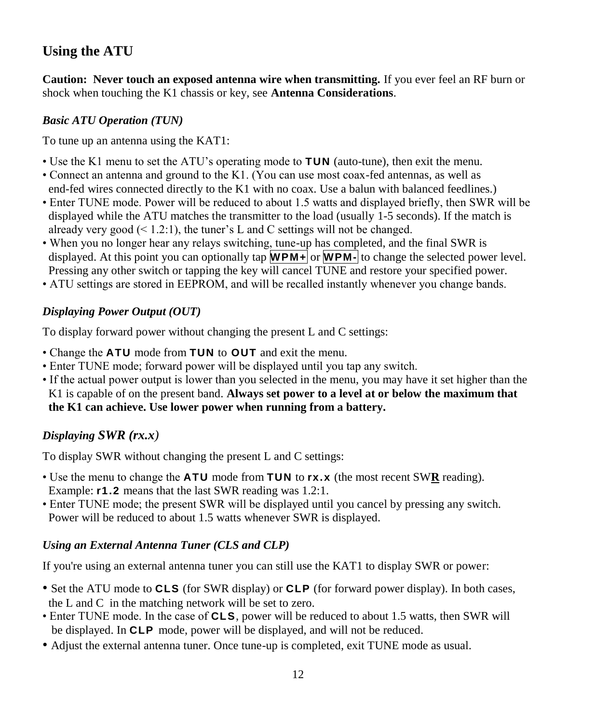### **Using the ATU**

**Caution: Never touch an exposed antenna wire when transmitting.** If you ever feel an RF burn or shock when touching the K1 chassis or key, see **Antenna Considerations**.

#### *Basic ATU Operation (TUN)*

To tune up an antenna using the KAT1:

- Use the K1 menu to set the ATU's operating mode to **TUN** (auto-tune), then exit the menu.
- Connect an antenna and ground to the K1. (You can use most coax-fed antennas, as well as end-fed wires connected directly to the K1 with no coax. Use a balun with balanced feedlines.)
- Enter TUNE mode. Power will be reduced to about 1.5 watts and displayed briefly, then SWR will be displayed while the ATU matches the transmitter to the load (usually 1-5 seconds). If the match is already very good  $(1.2:1)$ , the tuner's L and C settings will not be changed.
- When you no longer hear any relays switching, tune-up has completed, and the final SWR is displayed. At this point you can optionally tap **WPM+** or **WPM-** to change the selected power level. Pressing any other switch or tapping the key will cancel TUNE and restore your specified power.
- ATU settings are stored in EEPROM, and will be recalled instantly whenever you change bands.

### *Displaying Power Output (OUT)*

To display forward power without changing the present L and C settings:

- Change the **ATU** mode from **TUN** to **OUT** and exit the menu.
- Enter TUNE mode; forward power will be displayed until you tap any switch.
- If the actual power output is lower than you selected in the menu, you may have it set higher than the K1 is capable of on the present band. **Always set power to a level at or below the maximum that the K1 can achieve. Use lower power when running from a battery.**

### *Displaying SWR (rx.x)*

To display SWR without changing the present L and C settings:

- Use the menu to change the **ATU** mode from **TUN** to **rx.x** (the most recent SW**R** reading). Example: **r1.2** means that the last SWR reading was 1.2:1.
- Enter TUNE mode; the present SWR will be displayed until you cancel by pressing any switch. Power will be reduced to about 1.5 watts whenever SWR is displayed.

### *Using an External Antenna Tuner (CLS and CLP)*

If you're using an external antenna tuner you can still use the KAT1 to display SWR or power:

- Set the ATU mode to **CLS** (for SWR display) or **CLP** (for forward power display). In both cases, the L and C in the matching network will be set to zero.
- Enter TUNE mode. In the case of **CLS**, power will be reduced to about 1.5 watts, then SWR will be displayed. In **CLP** mode, power will be displayed, and will not be reduced.
- Adjust the external antenna tuner. Once tune-up is completed, exit TUNE mode as usual.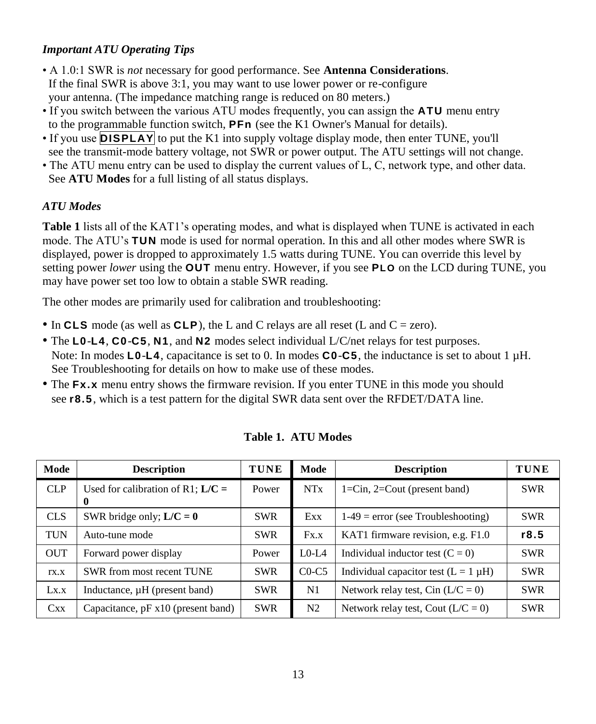#### *Important ATU Operating Tips*

- A 1.0:1 SWR is *not* necessary for good performance. See **Antenna Considerations**. If the final SWR is above 3:1, you may want to use lower power or re-configure your antenna. (The impedance matching range is reduced on 80 meters.)
- If you switch between the various ATU modes frequently, you can assign the **ATU** menu entry to the programmable function switch, **PFn** (see the K1 Owner's Manual for details).
- If you use **DISPLAY** to put the K1 into supply voltage display mode, then enter TUNE, you'll see the transmit-mode battery voltage, not SWR or power output. The ATU settings will not change.
- The ATU menu entry can be used to display the current values of L, C, network type, and other data. See **ATU Modes** for a full listing of all status displays.

#### *ATU Modes*

**Table 1** lists all of the KAT1's operating modes, and what is displayed when TUNE is activated in each mode. The ATU's **TUN** mode is used for normal operation. In this and all other modes where SWR is displayed, power is dropped to approximately 1.5 watts during TUNE. You can override this level by setting power *lower* using the **OUT** menu entry. However, if you see **PLO** on the LCD during TUNE, you may have power set too low to obtain a stable SWR reading.

The other modes are primarily used for calibration and troubleshooting:

- In **CLS** mode (as well as **CLP**), the L and C relays are all reset (L and C = zero).
- The **L0**-**L4**, **C0**-**C5**, **N1**, and **N2** modes select individual L/C/net relays for test purposes. Note: In modes **L0**-**L4**, capacitance is set to 0. In modes **C0**-**C5**, the inductance is set to about 1 µH. See Troubleshooting for details on how to make use of these modes.
- The **Fx.x** menu entry shows the firmware revision. If you enter TUNE in this mode you should see **r8.5**, which is a test pattern for the digital SWR data sent over the RFDET/DATA line.

| Mode       | <b>Description</b>                                                                                     | <b>TUNE</b> | Mode       | <b>Description</b>                        | <b>TUNE</b> |
|------------|--------------------------------------------------------------------------------------------------------|-------------|------------|-------------------------------------------|-------------|
| CLP        | Used for calibration of R1; $L/C =$                                                                    | Power       | NTx        | $1 = Cin$ , $2 = Cout$ (present band)     | <b>SWR</b>  |
| <b>CLS</b> | SWR bridge only; $L/C = 0$                                                                             | <b>SWR</b>  | Exx        | $1-49$ = error (see Troubleshooting)      | <b>SWR</b>  |
| <b>TUN</b> | Auto-tune mode                                                                                         | <b>SWR</b>  | Fx.x       | KAT1 firmware revision, e.g. F1.0         | r8.5        |
| <b>OUT</b> | Forward power display                                                                                  | Power       | $L0-L4$    | Individual inductor test $(C = 0)$        | <b>SWR</b>  |
| TX.X       | SWR from most recent TUNE                                                                              | <b>SWR</b>  | $CO-C5$    | Individual capacitor test $(L = 1 \mu H)$ | <b>SWR</b>  |
| Lx.x       | Inductance, µH (present band)                                                                          | <b>SWR</b>  | N1         | Network relay test, Cin $(L/C = 0)$       | <b>SWR</b>  |
| Cxx        | <b>SWR</b><br>N2<br>Network relay test, Cout $(L/C = 0)$<br>Capacitance, $pF \times 10$ (present band) |             | <b>SWR</b> |                                           |             |

**Table 1. ATU Modes**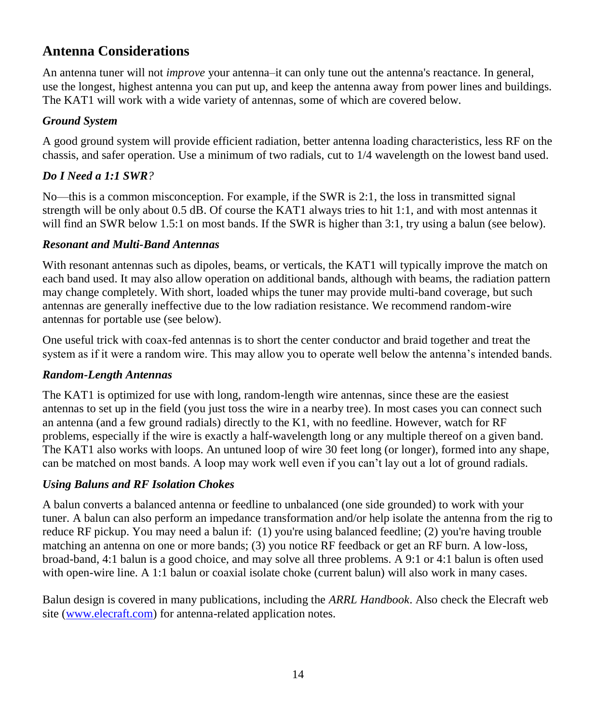### **Antenna Considerations**

An antenna tuner will not *improve* your antenna–it can only tune out the antenna's reactance. In general, use the longest, highest antenna you can put up, and keep the antenna away from power lines and buildings. The KAT1 will work with a wide variety of antennas, some of which are covered below.

#### *Ground System*

A good ground system will provide efficient radiation, better antenna loading characteristics, less RF on the chassis, and safer operation. Use a minimum of two radials, cut to 1/4 wavelength on the lowest band used.

### *Do I Need a 1:1 SWR?*

No—this is a common misconception. For example, if the SWR is 2:1, the loss in transmitted signal strength will be only about 0.5 dB. Of course the KAT1 always tries to hit 1:1, and with most antennas it will find an SWR below 1.5:1 on most bands. If the SWR is higher than 3:1, try using a balun (see below).

#### *Resonant and Multi-Band Antennas*

With resonant antennas such as dipoles, beams, or verticals, the KAT1 will typically improve the match on each band used. It may also allow operation on additional bands, although with beams, the radiation pattern may change completely. With short, loaded whips the tuner may provide multi-band coverage, but such antennas are generally ineffective due to the low radiation resistance. We recommend random-wire antennas for portable use (see below).

One useful trick with coax-fed antennas is to short the center conductor and braid together and treat the system as if it were a random wire. This may allow you to operate well below the antenna's intended bands.

### *Random-Length Antennas*

The KAT1 is optimized for use with long, random-length wire antennas, since these are the easiest antennas to set up in the field (you just toss the wire in a nearby tree). In most cases you can connect such an antenna (and a few ground radials) directly to the K1, with no feedline. However, watch for RF problems, especially if the wire is exactly a half-wavelength long or any multiple thereof on a given band. The KAT1 also works with loops. An untuned loop of wire 30 feet long (or longer), formed into any shape, can be matched on most bands. A loop may work well even if you can't lay out a lot of ground radials.

### *Using Baluns and RF Isolation Chokes*

A balun converts a balanced antenna or feedline to unbalanced (one side grounded) to work with your tuner. A balun can also perform an impedance transformation and/or help isolate the antenna from the rig to reduce RF pickup. You may need a balun if: (1) you're using balanced feedline; (2) you're having trouble matching an antenna on one or more bands; (3) you notice RF feedback or get an RF burn. A low-loss, broad-band, 4:1 balun is a good choice, and may solve all three problems. A 9:1 or 4:1 balun is often used with open-wire line. A 1:1 balun or coaxial isolate choke (current balun) will also work in many cases.

Balun design is covered in many publications, including the *ARRL Handbook*. Also check the Elecraft web site [\(www.elecraft.com\)](http://www.elecraft.com/) for antenna-related application notes.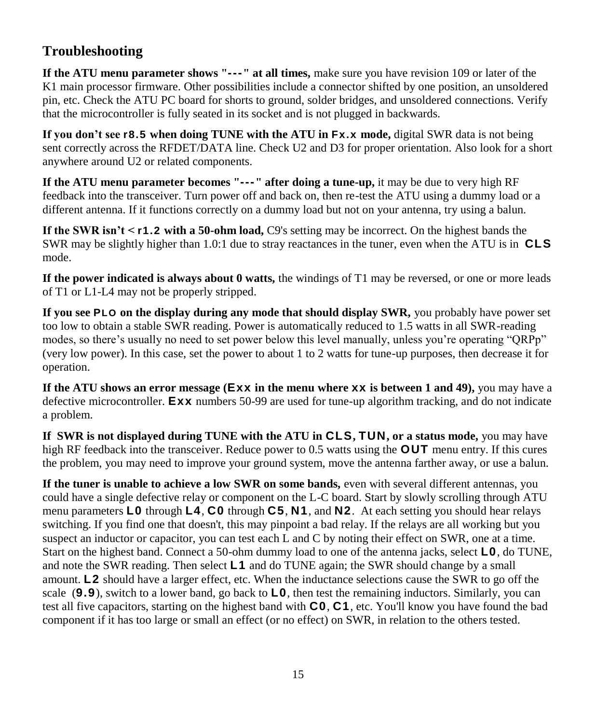### **Troubleshooting**

**If the ATU menu parameter shows "---" at all times,** make sure you have revision 109 or later of the K1 main processor firmware. Other possibilities include a connector shifted by one position, an unsoldered pin, etc. Check the ATU PC board for shorts to ground, solder bridges, and unsoldered connections. Verify that the microcontroller is fully seated in its socket and is not plugged in backwards.

**If you don't see r8.5 when doing TUNE with the ATU in Fx.x mode,** digital SWR data is not being sent correctly across the RFDET/DATA line. Check U2 and D3 for proper orientation. Also look for a short anywhere around U2 or related components.

**If the ATU menu parameter becomes "---" after doing a tune-up,** it may be due to very high RF feedback into the transceiver. Turn power off and back on, then re-test the ATU using a dummy load or a different antenna. If it functions correctly on a dummy load but not on your antenna, try using a balun.

**If the SWR isn't < r1.2 with a 50-ohm load,** C9's setting may be incorrect. On the highest bands the SWR may be slightly higher than 1.0:1 due to stray reactances in the tuner, even when the ATU is in **CLS** mode.

**If the power indicated is always about 0 watts,** the windings of T1 may be reversed, or one or more leads of T1 or L1-L4 may not be properly stripped.

**If you see PLO on the display during any mode that should display SWR,** you probably have power set too low to obtain a stable SWR reading. Power is automatically reduced to 1.5 watts in all SWR-reading modes, so there's usually no need to set power below this level manually, unless you're operating "QRPp" (very low power). In this case, set the power to about 1 to 2 watts for tune-up purposes, then decrease it for operation.

**If the ATU shows an error message (Exx in the menu where xx is between 1 and 49),** you may have a defective microcontroller. **Exx** numbers 50-99 are used for tune-up algorithm tracking, and do not indicate a problem.

**If SWR is not displayed during TUNE with the ATU in CLS, TUN, or a status mode,** you may have high RF feedback into the transceiver. Reduce power to 0.5 watts using the **OUT** menu entry. If this cures the problem, you may need to improve your ground system, move the antenna farther away, or use a balun.

**If the tuner is unable to achieve a low SWR on some bands,** even with several different antennas, you could have a single defective relay or component on the L-C board. Start by slowly scrolling through ATU menu parameters **L0** through **L4**, **C0** through **C5**, **N1**, and **N2**. At each setting you should hear relays switching. If you find one that doesn't, this may pinpoint a bad relay. If the relays are all working but you suspect an inductor or capacitor, you can test each L and C by noting their effect on SWR, one at a time. Start on the highest band. Connect a 50-ohm dummy load to one of the antenna jacks, select **L0**, do TUNE, and note the SWR reading. Then select **L1** and do TUNE again; the SWR should change by a small amount. **L2** should have a larger effect, etc. When the inductance selections cause the SWR to go off the scale (**9.9**), switch to a lower band, go back to **L0**, then test the remaining inductors. Similarly, you can test all five capacitors, starting on the highest band with **C0**, **C1**, etc. You'll know you have found the bad component if it has too large or small an effect (or no effect) on SWR, in relation to the others tested.